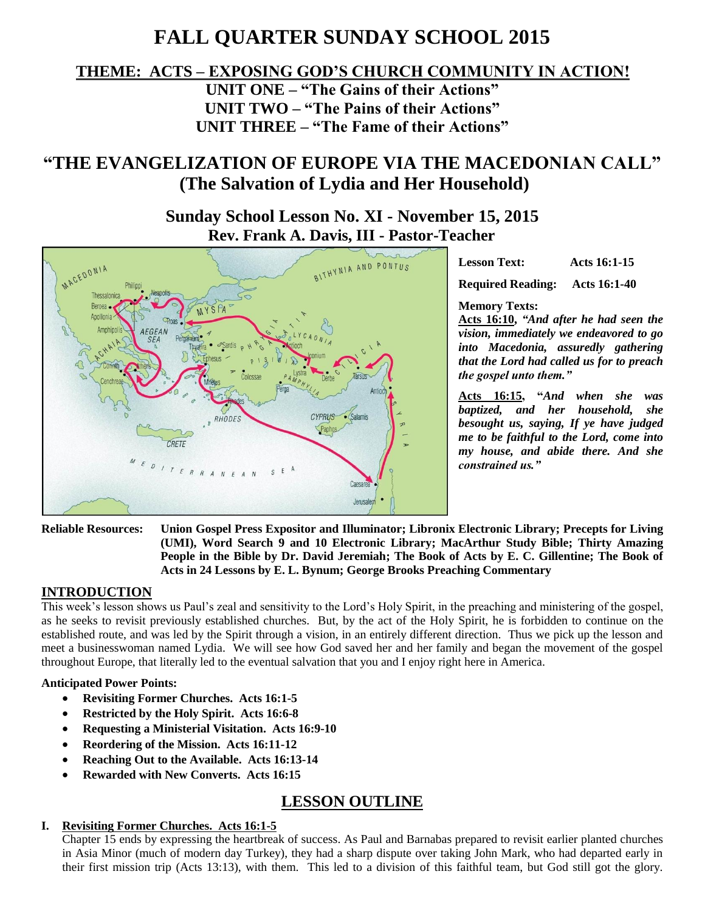# **FALL QUARTER SUNDAY SCHOOL 2015**

### **THEME: ACTS – EXPOSING GOD'S CHURCH COMMUNITY IN ACTION!**

**UNIT ONE – "The Gains of their Actions" UNIT TWO – "The Pains of their Actions" UNIT THREE – "The Fame of their Actions"**

## **"THE EVANGELIZATION OF EUROPE VIA THE MACEDONIAN CALL" (The Salvation of Lydia and Her Household)**

**Sunday School Lesson No. XI - November 15, 2015 Rev. Frank A. Davis, III - Pastor-Teacher**



**Lesson Text: Acts 16:1-15 Required Reading: Acts 16:1-40**

**Memory Texts:** 

**Acts 16:10,** *"And after he had seen the vision, immediately we endeavored to go into Macedonia, assuredly gathering that the Lord had called us for to preach the gospel unto them."*

**Acts 16:15, "***And when she was baptized, and her household, she besought us, saying, If ye have judged me to be faithful to the Lord, come into my house, and abide there. And she constrained us."*

**Reliable Resources: Union Gospel Press Expositor and Illuminator; Libronix Electronic Library; Precepts for Living (UMI), Word Search 9 and 10 Electronic Library; MacArthur Study Bible; Thirty Amazing People in the Bible by Dr. David Jeremiah; The Book of Acts by E. C. Gillentine; The Book of Acts in 24 Lessons by E. L. Bynum; George Brooks Preaching Commentary**

#### **INTRODUCTION**

This week's lesson shows us Paul's zeal and sensitivity to the Lord's Holy Spirit, in the preaching and ministering of the gospel, as he seeks to revisit previously established churches. But, by the act of the Holy Spirit, he is forbidden to continue on the established route, and was led by the Spirit through a vision, in an entirely different direction. Thus we pick up the lesson and meet a businesswoman named Lydia. We will see how God saved her and her family and began the movement of the gospel throughout Europe, that literally led to the eventual salvation that you and I enjoy right here in America.

#### **Anticipated Power Points:**

- **Revisiting Former Churches. Acts 16:1-5**
- **Restricted by the Holy Spirit. Acts 16:6-8**
- **Requesting a Ministerial Visitation. Acts 16:9-10**
- **Reordering of the Mission. Acts 16:11-12**
- **Reaching Out to the Available. Acts 16:13-14**
- **Rewarded with New Converts. Acts 16:15**

## **LESSON OUTLINE**

#### **I. Revisiting Former Churches. Acts 16:1-5**

Chapter 15 ends by expressing the heartbreak of success. As Paul and Barnabas prepared to revisit earlier planted churches in Asia Minor (much of modern day Turkey), they had a sharp dispute over taking John Mark, who had departed early in their first mission trip (Acts 13:13), with them. This led to a division of this faithful team, but God still got the glory.